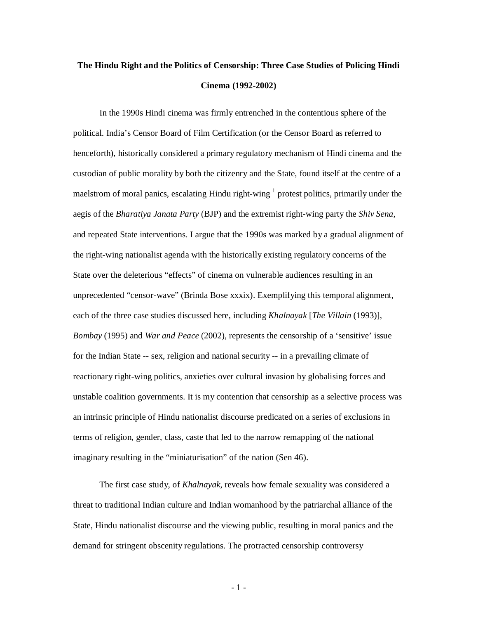# **The Hindu Right and the Politics of Censorship: Three Case Studies of Policing Hindi Cinema (1992-2002)**

In the 1990s Hindi cinema was firmly entrenched in the contentious sphere of the political. India's Censor Board of Film Certification (or the Censor Board as referred to henceforth), historically considered a primary regulatory mechanism of Hindi cinema and the custodian of public morality by both the citizenry and the State, found itself at the centre of a maelstrom of moral panics, escalating Hindu right-wing <sup>1</sup> protest politics, primarily under the aegis of the *Bharatiya Janata Party* (BJP) and the extremist right-wing party the *Shiv Sena*, and repeated State interventions. I argue that the 1990s was marked by a gradual alignment of the right-wing nationalist agenda with the historically existing regulatory concerns of the State over the deleterious "effects" of cinema on vulnerable audiences resulting in an unprecedented "censor-wave" (Brinda Bose xxxix). Exemplifying this temporal alignment, each of the three case studies discussed here, including *Khalnayak* [*The Villain* (1993)], *Bombay* (1995) and *War and Peace* (2002), represents the censorship of a 'sensitive' issue for the Indian State -- sex, religion and national security -- in a prevailing climate of reactionary right-wing politics, anxieties over cultural invasion by globalising forces and unstable coalition governments. It is my contention that censorship as a selective process was an intrinsic principle of Hindu nationalist discourse predicated on a series of exclusions in terms of religion, gender, class, caste that led to the narrow remapping of the national imaginary resulting in the "miniaturisation" of the nation (Sen 46).

The first case study, of *Khalnayak*, reveals how female sexuality was considered a threat to traditional Indian culture and Indian womanhood by the patriarchal alliance of the State, Hindu nationalist discourse and the viewing public, resulting in moral panics and the demand for stringent obscenity regulations. The protracted censorship controversy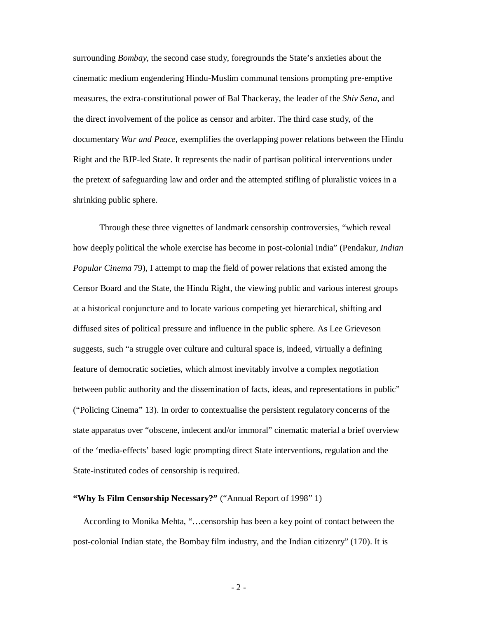surrounding *Bombay*, the second case study, foregrounds the State's anxieties about the cinematic medium engendering Hindu-Muslim communal tensions prompting pre-emptive measures, the extra-constitutional power of Bal Thackeray, the leader of the *Shiv Sena*, and the direct involvement of the police as censor and arbiter. The third case study, of the documentary *War and Peace*, exemplifies the overlapping power relations between the Hindu Right and the BJP-led State. It represents the nadir of partisan political interventions under the pretext of safeguarding law and order and the attempted stifling of pluralistic voices in a shrinking public sphere.

Through these three vignettes of landmark censorship controversies, "which reveal how deeply political the whole exercise has become in post-colonial India" (Pendakur, *Indian Popular Cinema* 79), I attempt to map the field of power relations that existed among the Censor Board and the State, the Hindu Right, the viewing public and various interest groups at a historical conjuncture and to locate various competing yet hierarchical, shifting and diffused sites of political pressure and influence in the public sphere. As Lee Grieveson suggests, such "a struggle over culture and cultural space is, indeed, virtually a defining feature of democratic societies, which almost inevitably involve a complex negotiation between public authority and the dissemination of facts, ideas, and representations in public" ("Policing Cinema" 13). In order to contextualise the persistent regulatory concerns of the state apparatus over "obscene, indecent and/or immoral" cinematic material a brief overview of the 'media-effects' based logic prompting direct State interventions, regulation and the State-instituted codes of censorship is required.

## **"Why Is Film Censorship Necessary?"** ("Annual Report of 1998" 1)

According to Monika Mehta, "…censorship has been a key point of contact between the post-colonial Indian state, the Bombay film industry, and the Indian citizenry" (170). It is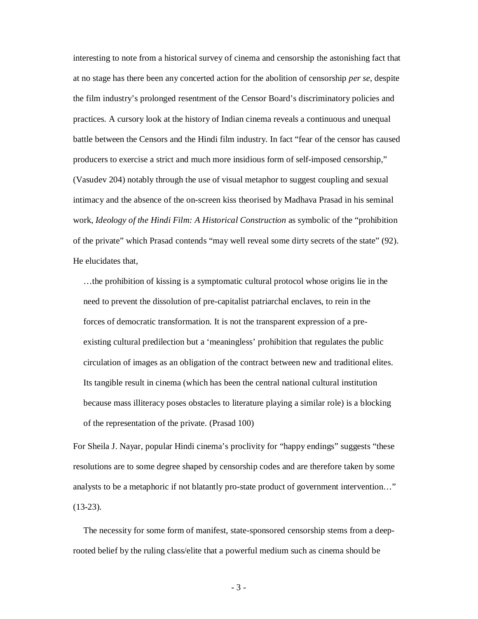interesting to note from a historical survey of cinema and censorship the astonishing fact that at no stage has there been any concerted action for the abolition of censorship *per se*, despite the film industry's prolonged resentment of the Censor Board's discriminatory policies and practices. A cursory look at the history of Indian cinema reveals a continuous and unequal battle between the Censors and the Hindi film industry. In fact "fear of the censor has caused producers to exercise a strict and much more insidious form of self-imposed censorship," (Vasudev 204) notably through the use of visual metaphor to suggest coupling and sexual intimacy and the absence of the on-screen kiss theorised by Madhava Prasad in his seminal work, *Ideology of the Hindi Film: A Historical Construction* as symbolic of the "prohibition of the private" which Prasad contends "may well reveal some dirty secrets of the state" (92). He elucidates that,

…the prohibition of kissing is a symptomatic cultural protocol whose origins lie in the need to prevent the dissolution of pre-capitalist patriarchal enclaves, to rein in the forces of democratic transformation. It is not the transparent expression of a preexisting cultural predilection but a 'meaningless' prohibition that regulates the public circulation of images as an obligation of the contract between new and traditional elites. Its tangible result in cinema (which has been the central national cultural institution because mass illiteracy poses obstacles to literature playing a similar role) is a blocking of the representation of the private. (Prasad 100)

For Sheila J. Nayar, popular Hindi cinema's proclivity for "happy endings" suggests "these resolutions are to some degree shaped by censorship codes and are therefore taken by some analysts to be a metaphoric if not blatantly pro-state product of government intervention…" (13-23).

The necessity for some form of manifest, state-sponsored censorship stems from a deeprooted belief by the ruling class/elite that a powerful medium such as cinema should be

- 3 -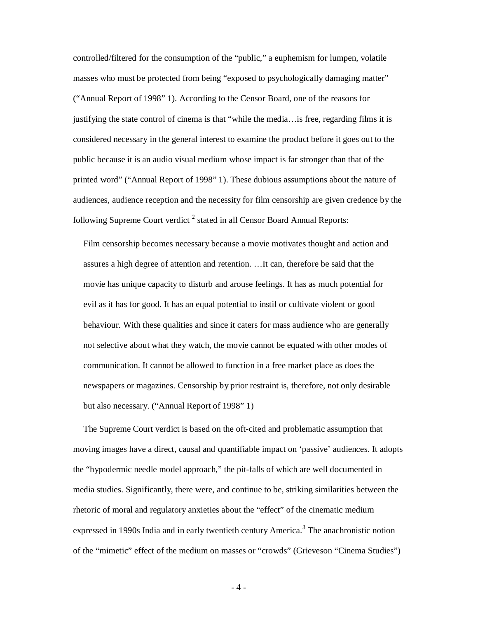controlled/filtered for the consumption of the "public," a euphemism for lumpen, volatile masses who must be protected from being "exposed to psychologically damaging matter" ("Annual Report of 1998" 1). According to the Censor Board, one of the reasons for justifying the state control of cinema is that "while the media…is free, regarding films it is considered necessary in the general interest to examine the product before it goes out to the public because it is an audio visual medium whose impact is far stronger than that of the printed word" ("Annual Report of 1998" 1). These dubious assumptions about the nature of audiences, audience reception and the necessity for film censorship are given credence by the following Supreme Court verdict  $^2$  stated in all Censor Board Annual Reports:

Film censorship becomes necessary because a movie motivates thought and action and assures a high degree of attention and retention. …It can, therefore be said that the movie has unique capacity to disturb and arouse feelings. It has as much potential for evil as it has for good. It has an equal potential to instil or cultivate violent or good behaviour. With these qualities and since it caters for mass audience who are generally not selective about what they watch, the movie cannot be equated with other modes of communication. It cannot be allowed to function in a free market place as does the newspapers or magazines. Censorship by prior restraint is, therefore, not only desirable but also necessary. ("Annual Report of 1998" 1)

The Supreme Court verdict is based on the oft-cited and problematic assumption that moving images have a direct, causal and quantifiable impact on 'passive' audiences. It adopts the "hypodermic needle model approach," the pit-falls of which are well documented in media studies. Significantly, there were, and continue to be, striking similarities between the rhetoric of moral and regulatory anxieties about the "effect" of the cinematic medium expressed in 1990s India and in early twentieth century America.<sup>3</sup> The anachronistic notion of the "mimetic" effect of the medium on masses or "crowds" (Grieveson "Cinema Studies")

 $-4-$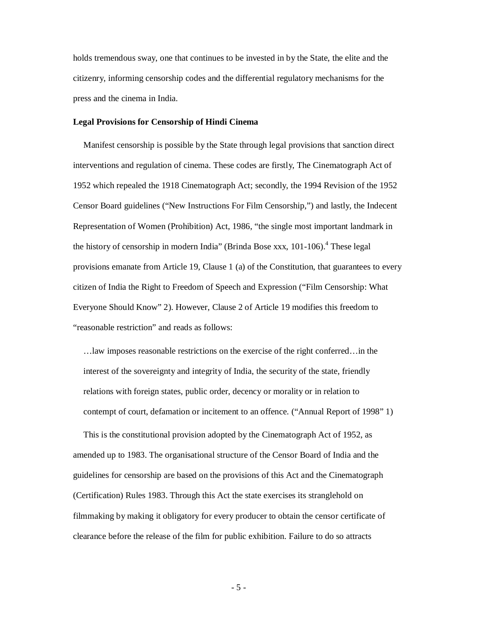holds tremendous sway, one that continues to be invested in by the State, the elite and the citizenry, informing censorship codes and the differential regulatory mechanisms for the press and the cinema in India.

#### **Legal Provisions for Censorship of Hindi Cinema**

Manifest censorship is possible by the State through legal provisions that sanction direct interventions and regulation of cinema. These codes are firstly, The Cinematograph Act of 1952 which repealed the 1918 Cinematograph Act; secondly, the 1994 Revision of the 1952 Censor Board guidelines ("New Instructions For Film Censorship,") and lastly, the Indecent Representation of Women (Prohibition) Act, 1986, "the single most important landmark in the history of censorship in modern India" (Brinda Bose xxx,  $101-106$ ).<sup>4</sup> These legal provisions emanate from Article 19, Clause 1 (a) of the Constitution, that guarantees to every citizen of India the Right to Freedom of Speech and Expression ("Film Censorship: What Everyone Should Know" 2). However, Clause 2 of Article 19 modifies this freedom to "reasonable restriction" and reads as follows:

…law imposes reasonable restrictions on the exercise of the right conferred…in the interest of the sovereignty and integrity of India, the security of the state, friendly relations with foreign states, public order, decency or morality or in relation to contempt of court, defamation or incitement to an offence. ("Annual Report of 1998" 1)

This is the constitutional provision adopted by the Cinematograph Act of 1952, as amended up to 1983. The organisational structure of the Censor Board of India and the guidelines for censorship are based on the provisions of this Act and the Cinematograph (Certification) Rules 1983. Through this Act the state exercises its stranglehold on filmmaking by making it obligatory for every producer to obtain the censor certificate of clearance before the release of the film for public exhibition. Failure to do so attracts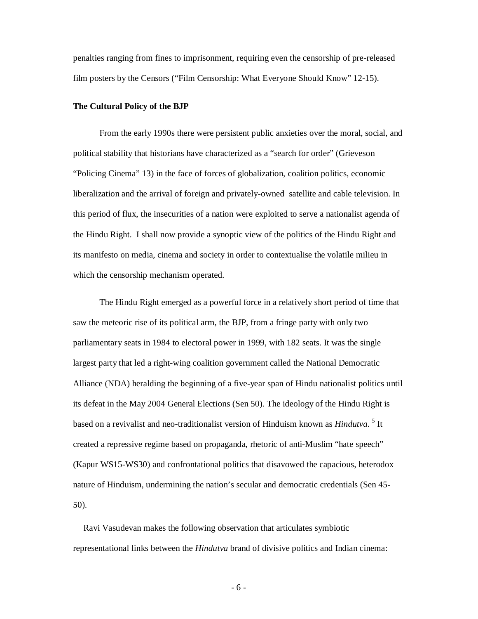penalties ranging from fines to imprisonment, requiring even the censorship of pre-released film posters by the Censors ("Film Censorship: What Everyone Should Know" 12-15).

#### **The Cultural Policy of the BJP**

From the early 1990s there were persistent public anxieties over the moral, social, and political stability that historians have characterized as a "search for order" (Grieveson "Policing Cinema" 13) in the face of forces of globalization, coalition politics, economic liberalization and the arrival of foreign and privately-owned satellite and cable television. In this period of flux, the insecurities of a nation were exploited to serve a nationalist agenda of the Hindu Right. I shall now provide a synoptic view of the politics of the Hindu Right and its manifesto on media, cinema and society in order to contextualise the volatile milieu in which the censorship mechanism operated.

The Hindu Right emerged as a powerful force in a relatively short period of time that saw the meteoric rise of its political arm, the BJP, from a fringe party with only two parliamentary seats in 1984 to electoral power in 1999, with 182 seats. It was the single largest party that led a right-wing coalition government called the National Democratic Alliance (NDA) heralding the beginning of a five-year span of Hindu nationalist politics until its defeat in the May 2004 General Elections (Sen 50). The ideology of the Hindu Right is based on a revivalist and neo-traditionalist version of Hinduism known as *Hindutva.* <sup>5</sup> It created a repressive regime based on propaganda, rhetoric of anti-Muslim "hate speech" (Kapur WS15-WS30) and confrontational politics that disavowed the capacious, heterodox nature of Hinduism, undermining the nation's secular and democratic credentials (Sen 45- 50).

Ravi Vasudevan makes the following observation that articulates symbiotic representational links between the *Hindutva* brand of divisive politics and Indian cinema:

- 6 -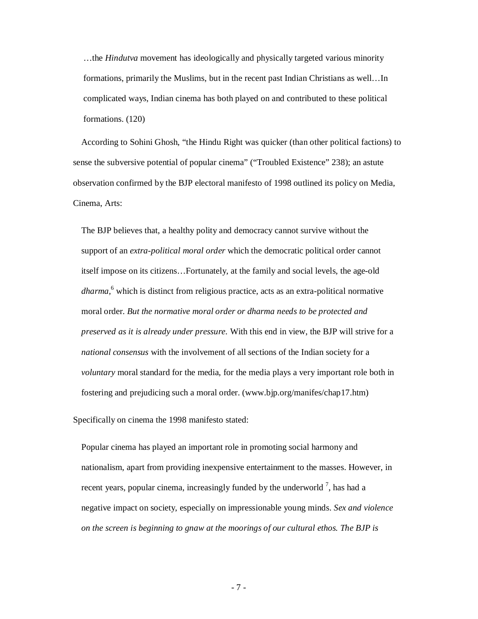…the *Hindutva* movement has ideologically and physically targeted various minority formations, primarily the Muslims, but in the recent past Indian Christians as well…In complicated ways, Indian cinema has both played on and contributed to these political formations. (120)

According to Sohini Ghosh, "the Hindu Right was quicker (than other political factions) to sense the subversive potential of popular cinema" ("Troubled Existence" 238); an astute observation confirmed by the BJP electoral manifesto of 1998 outlined its policy on Media, Cinema, Arts:

The BJP believes that, a healthy polity and democracy cannot survive without the support of an *extra-political moral order* which the democratic political order cannot itself impose on its citizens…Fortunately, at the family and social levels, the age-old *dharma,*<sup>6</sup> which is distinct from religious practice, acts as an extra-political normative moral order. *But the normative moral order or dharma needs to be protected and preserved as it is already under pressure.* With this end in view, the BJP will strive for a *national consensus* with the involvement of all sections of the Indian society for a *voluntary* moral standard for the media, for the media plays a very important role both in fostering and prejudicing such a moral order. (www.bjp.org/manifes/chap17.htm)

Specifically on cinema the 1998 manifesto stated:

Popular cinema has played an important role in promoting social harmony and nationalism, apart from providing inexpensive entertainment to the masses. However, in recent years, popular cinema, increasingly funded by the underworld  $\frac{7}{1}$ , has had a negative impact on society, especially on impressionable young minds. *Sex and violence on the screen is beginning to gnaw at the moorings of our cultural ethos. The BJP is*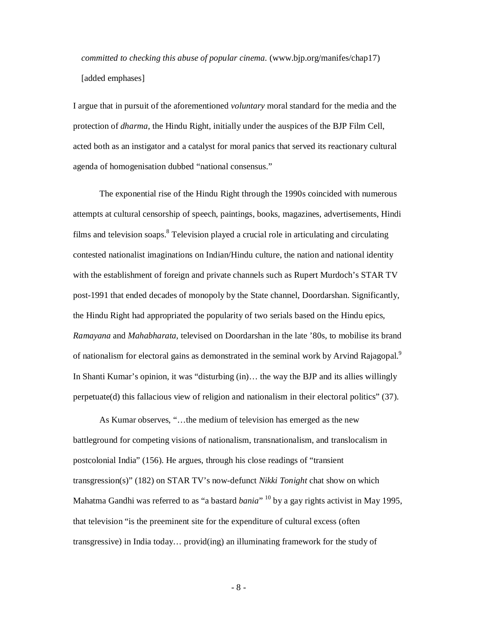*committed to checking this abuse of popular cinema.* (www.bjp.org/manifes/chap17) [added emphases]

I argue that in pursuit of the aforementioned *voluntary* moral standard for the media and the protection of *dharma*, the Hindu Right, initially under the auspices of the BJP Film Cell, acted both as an instigator and a catalyst for moral panics that served its reactionary cultural agenda of homogenisation dubbed "national consensus."

The exponential rise of the Hindu Right through the 1990s coincided with numerous attempts at cultural censorship of speech, paintings, books, magazines, advertisements, Hindi films and television soaps. $8$  Television played a crucial role in articulating and circulating contested nationalist imaginations on Indian/Hindu culture, the nation and national identity with the establishment of foreign and private channels such as Rupert Murdoch's STAR TV post-1991 that ended decades of monopoly by the State channel, Doordarshan. Significantly, the Hindu Right had appropriated the popularity of two serials based on the Hindu epics, *Ramayana* and *Mahabharata*, televised on Doordarshan in the late '80s, to mobilise its brand of nationalism for electoral gains as demonstrated in the seminal work by Arvind Rajagopal.<sup>9</sup> In Shanti Kumar's opinion, it was "disturbing (in)… the way the BJP and its allies willingly perpetuate(d) this fallacious view of religion and nationalism in their electoral politics" (37).

As Kumar observes, "…the medium of television has emerged as the new battleground for competing visions of nationalism, transnationalism, and translocalism in postcolonial India" (156). He argues, through his close readings of "transient transgression(s)" (182) on STAR TV's now-defunct *Nikki Tonight* chat show on which Mahatma Gandhi was referred to as "a bastard *bania*" <sup>10</sup> by a gay rights activist in May 1995, that television "is the preeminent site for the expenditure of cultural excess (often transgressive) in India today… provid(ing) an illuminating framework for the study of

- 8 -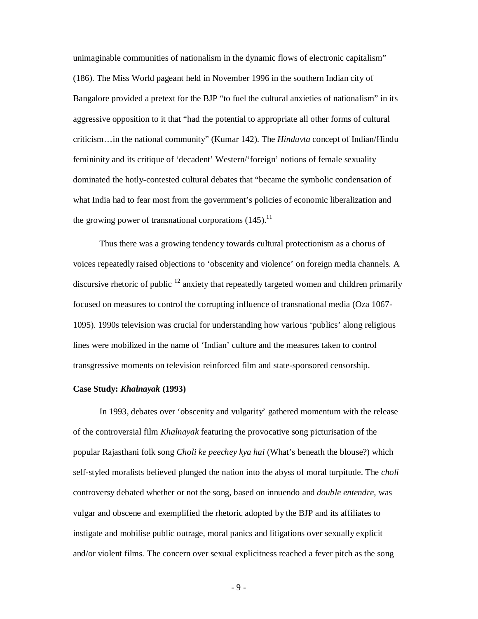unimaginable communities of nationalism in the dynamic flows of electronic capitalism" (186). The Miss World pageant held in November 1996 in the southern Indian city of Bangalore provided a pretext for the BJP "to fuel the cultural anxieties of nationalism" in its aggressive opposition to it that "had the potential to appropriate all other forms of cultural criticism…in the national community" (Kumar 142). The *Hinduvta* concept of Indian/Hindu femininity and its critique of 'decadent' Western/'foreign' notions of female sexuality dominated the hotly-contested cultural debates that "became the symbolic condensation of what India had to fear most from the government's policies of economic liberalization and the growing power of transnational corporations  $(145)$ .<sup>11</sup>

Thus there was a growing tendency towards cultural protectionism as a chorus of voices repeatedly raised objections to 'obscenity and violence' on foreign media channels. A discursive rhetoric of public  $12$  anxiety that repeatedly targeted women and children primarily focused on measures to control the corrupting influence of transnational media (Oza 1067- 1095). 1990s television was crucial for understanding how various 'publics' along religious lines were mobilized in the name of 'Indian' culture and the measures taken to control transgressive moments on television reinforced film and state-sponsored censorship.

#### **Case Study:** *Khalnayak* **(1993)**

In 1993, debates over 'obscenity and vulgarity' gathered momentum with the release of the controversial film *Khalnayak* featuring the provocative song picturisation of the popular Rajasthani folk song *Choli ke peechey kya hai* (What's beneath the blouse?) which self-styled moralists believed plunged the nation into the abyss of moral turpitude. The *choli* controversy debated whether or not the song, based on innuendo and *double entendre*, was vulgar and obscene and exemplified the rhetoric adopted by the BJP and its affiliates to instigate and mobilise public outrage, moral panics and litigations over sexually explicit and/or violent films. The concern over sexual explicitness reached a fever pitch as the song

- 9 -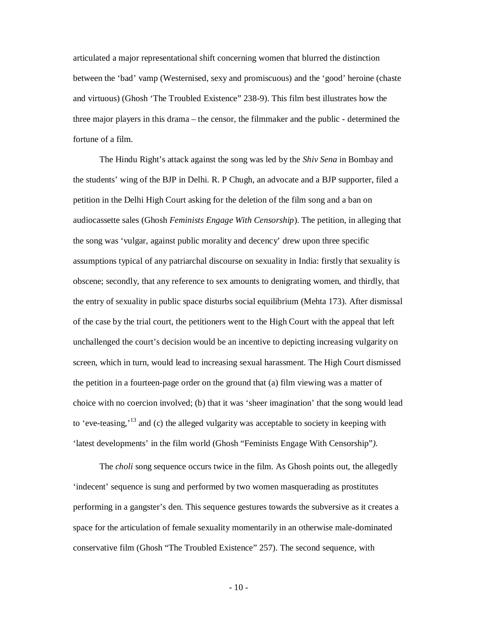articulated a major representational shift concerning women that blurred the distinction between the 'bad' vamp (Westernised, sexy and promiscuous) and the 'good' heroine (chaste and virtuous) (Ghosh 'The Troubled Existence" 238-9). This film best illustrates how the three major players in this drama – the censor, the filmmaker and the public - determined the fortune of a film.

The Hindu Right's attack against the song was led by the *Shiv Sena* in Bombay and the students' wing of the BJP in Delhi. R. P Chugh, an advocate and a BJP supporter, filed a petition in the Delhi High Court asking for the deletion of the film song and a ban on audiocassette sales (Ghosh *Feminists Engage With Censorship*). The petition, in alleging that the song was 'vulgar, against public morality and decency' drew upon three specific assumptions typical of any patriarchal discourse on sexuality in India: firstly that sexuality is obscene; secondly, that any reference to sex amounts to denigrating women, and thirdly, that the entry of sexuality in public space disturbs social equilibrium (Mehta 173). After dismissal of the case by the trial court, the petitioners went to the High Court with the appeal that left unchallenged the court's decision would be an incentive to depicting increasing vulgarity on screen, which in turn, would lead to increasing sexual harassment. The High Court dismissed the petition in a fourteen-page order on the ground that (a) film viewing was a matter of choice with no coercion involved; (b) that it was 'sheer imagination' that the song would lead to 'eve-teasing,'<sup>13</sup> and (c) the alleged vulgarity was acceptable to society in keeping with 'latest developments' in the film world (Ghosh "Feminists Engage With Censorship"*).*

The *choli* song sequence occurs twice in the film. As Ghosh points out, the allegedly 'indecent' sequence is sung and performed by two women masquerading as prostitutes performing in a gangster's den. This sequence gestures towards the subversive as it creates a space for the articulation of female sexuality momentarily in an otherwise male-dominated conservative film (Ghosh "The Troubled Existence" 257). The second sequence, with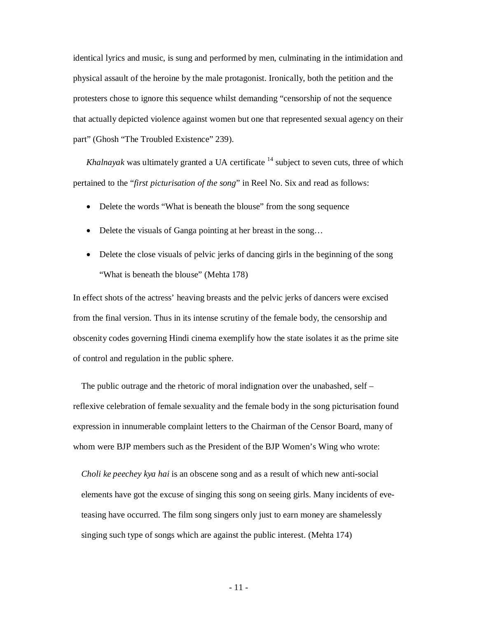identical lyrics and music, is sung and performed by men, culminating in the intimidation and physical assault of the heroine by the male protagonist. Ironically, both the petition and the protesters chose to ignore this sequence whilst demanding "censorship of not the sequence that actually depicted violence against women but one that represented sexual agency on their part" (Ghosh "The Troubled Existence" 239).

*Khalnayak* was ultimately granted a UA certificate  $14$  subject to seven cuts, three of which pertained to the "*first picturisation of the song*" in Reel No. Six and read as follows:

- Delete the words "What is beneath the blouse" from the song sequence
- Delete the visuals of Ganga pointing at her breast in the song...
- Delete the close visuals of pelvic jerks of dancing girls in the beginning of the song "What is beneath the blouse" (Mehta 178)

In effect shots of the actress' heaving breasts and the pelvic jerks of dancers were excised from the final version. Thus in its intense scrutiny of the female body, the censorship and obscenity codes governing Hindi cinema exemplify how the state isolates it as the prime site of control and regulation in the public sphere.

The public outrage and the rhetoric of moral indignation over the unabashed, self – reflexive celebration of female sexuality and the female body in the song picturisation found expression in innumerable complaint letters to the Chairman of the Censor Board, many of whom were BJP members such as the President of the BJP Women's Wing who wrote:

*Choli ke peechey kya hai* is an obscene song and as a result of which new anti-social elements have got the excuse of singing this song on seeing girls. Many incidents of eveteasing have occurred. The film song singers only just to earn money are shamelessly singing such type of songs which are against the public interest. (Mehta 174)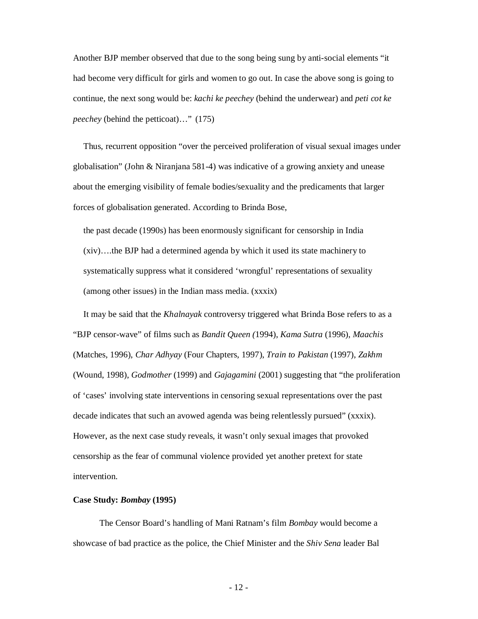Another BJP member observed that due to the song being sung by anti-social elements "it had become very difficult for girls and women to go out. In case the above song is going to continue, the next song would be: *kachi ke peechey* (behind the underwear) and *peti cot ke peechey* (behind the petticoat)…" (175)

Thus, recurrent opposition "over the perceived proliferation of visual sexual images under globalisation" (John & Niranjana 581-4) was indicative of a growing anxiety and unease about the emerging visibility of female bodies/sexuality and the predicaments that larger forces of globalisation generated. According to Brinda Bose,

the past decade (1990s) has been enormously significant for censorship in India (xiv)….the BJP had a determined agenda by which it used its state machinery to systematically suppress what it considered 'wrongful' representations of sexuality (among other issues) in the Indian mass media. (xxxix)

It may be said that the *Khalnayak* controversy triggered what Brinda Bose refers to as a "BJP censor-wave" of films such as *Bandit Queen (*1994), *Kama Sutra* (1996), *Maachis*  (Matches, 1996), *Char Adhyay* (Four Chapters, 1997), *Train to Pakistan* (1997), *Zakhm* (Wound, 1998), *Godmother* (1999) and *Gajagamini* (2001) suggesting that "the proliferation of 'cases' involving state interventions in censoring sexual representations over the past decade indicates that such an avowed agenda was being relentlessly pursued" (xxxix). However, as the next case study reveals, it wasn't only sexual images that provoked censorship as the fear of communal violence provided yet another pretext for state intervention.

#### **Case Study:** *Bombay* **(1995)**

The Censor Board's handling of Mani Ratnam's film *Bombay* would become a showcase of bad practice as the police, the Chief Minister and the *Shiv Sena* leader Bal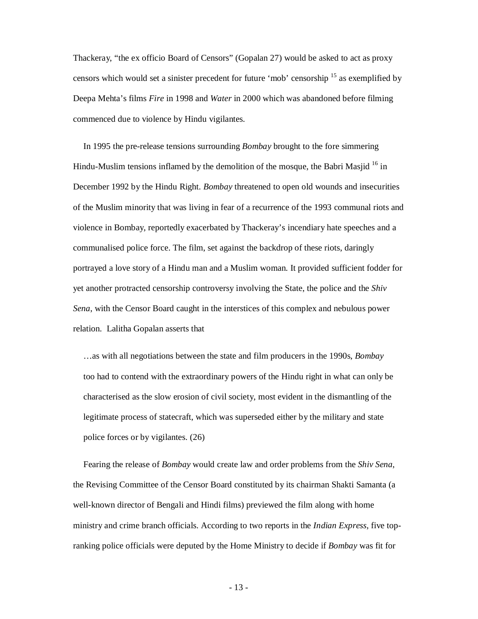Thackeray, "the ex officio Board of Censors" (Gopalan 27) would be asked to act as proxy censors which would set a sinister precedent for future 'mob' censorship <sup>15</sup> as exemplified by Deepa Mehta's films *Fire* in 1998 and *Water* in 2000 which was abandoned before filming commenced due to violence by Hindu vigilantes.

In 1995 the pre-release tensions surrounding *Bombay* brought to the fore simmering Hindu-Muslim tensions inflamed by the demolition of the mosque, the Babri Masjid  $^{16}$  in December 1992 by the Hindu Right. *Bombay* threatened to open old wounds and insecurities of the Muslim minority that was living in fear of a recurrence of the 1993 communal riots and violence in Bombay, reportedly exacerbated by Thackeray's incendiary hate speeches and a communalised police force. The film, set against the backdrop of these riots, daringly portrayed a love story of a Hindu man and a Muslim woman. It provided sufficient fodder for yet another protracted censorship controversy involving the State, the police and the *Shiv Sena*, with the Censor Board caught in the interstices of this complex and nebulous power relation. Lalitha Gopalan asserts that

…as with all negotiations between the state and film producers in the 1990s, *Bombay* too had to contend with the extraordinary powers of the Hindu right in what can only be characterised as the slow erosion of civil society, most evident in the dismantling of the legitimate process of statecraft, which was superseded either by the military and state police forces or by vigilantes. (26)

Fearing the release of *Bombay* would create law and order problems from the *Shiv Sena*, the Revising Committee of the Censor Board constituted by its chairman Shakti Samanta (a well-known director of Bengali and Hindi films) previewed the film along with home ministry and crime branch officials. According to two reports in the *Indian Express*, five topranking police officials were deputed by the Home Ministry to decide if *Bombay* was fit for

- 13 -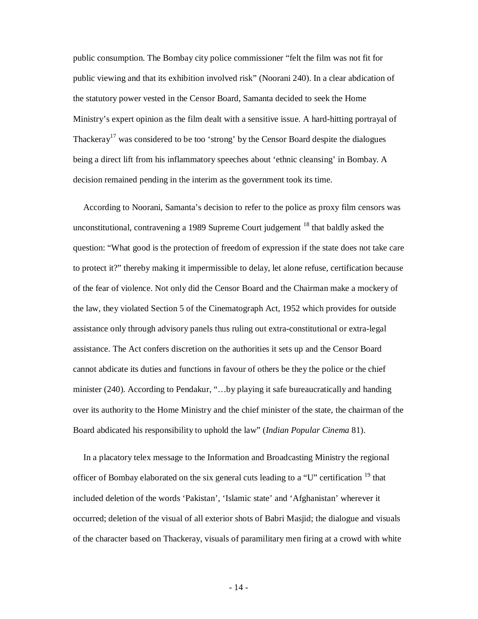public consumption. The Bombay city police commissioner "felt the film was not fit for public viewing and that its exhibition involved risk" (Noorani 240). In a clear abdication of the statutory power vested in the Censor Board, Samanta decided to seek the Home Ministry's expert opinion as the film dealt with a sensitive issue. A hard-hitting portrayal of Thackeray<sup>17</sup> was considered to be too 'strong' by the Censor Board despite the dialogues being a direct lift from his inflammatory speeches about 'ethnic cleansing' in Bombay. A decision remained pending in the interim as the government took its time.

According to Noorani, Samanta's decision to refer to the police as proxy film censors was unconstitutional, contravening a 1989 Supreme Court judgement <sup>18</sup> that baldly asked the question: "What good is the protection of freedom of expression if the state does not take care to protect it?" thereby making it impermissible to delay, let alone refuse, certification because of the fear of violence. Not only did the Censor Board and the Chairman make a mockery of the law, they violated Section 5 of the Cinematograph Act, 1952 which provides for outside assistance only through advisory panels thus ruling out extra-constitutional or extra-legal assistance. The Act confers discretion on the authorities it sets up and the Censor Board cannot abdicate its duties and functions in favour of others be they the police or the chief minister (240). According to Pendakur, "…by playing it safe bureaucratically and handing over its authority to the Home Ministry and the chief minister of the state, the chairman of the Board abdicated his responsibility to uphold the law" (*Indian Popular Cinema* 81).

In a placatory telex message to the Information and Broadcasting Ministry the regional officer of Bombay elaborated on the six general cuts leading to a "U" certification  $19$  that included deletion of the words 'Pakistan', 'Islamic state' and 'Afghanistan' wherever it occurred; deletion of the visual of all exterior shots of Babri Masjid; the dialogue and visuals of the character based on Thackeray, visuals of paramilitary men firing at a crowd with white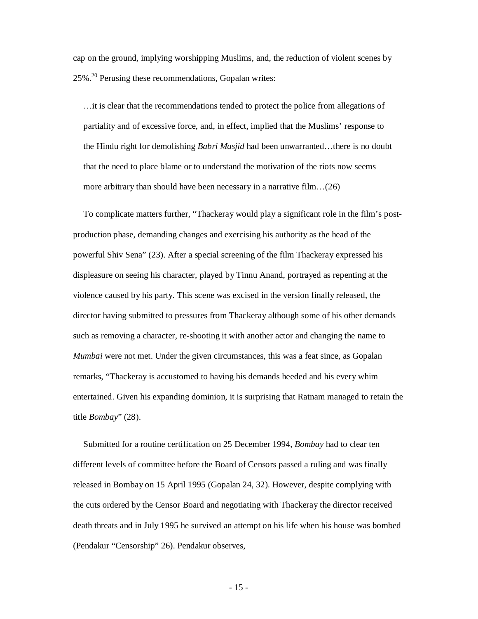cap on the ground, implying worshipping Muslims, and, the reduction of violent scenes by 25%.<sup>20</sup> Perusing these recommendations, Gopalan writes:

…it is clear that the recommendations tended to protect the police from allegations of partiality and of excessive force, and, in effect, implied that the Muslims' response to the Hindu right for demolishing *Babri Masjid* had been unwarranted…there is no doubt that the need to place blame or to understand the motivation of the riots now seems more arbitrary than should have been necessary in a narrative film…(26)

To complicate matters further, "Thackeray would play a significant role in the film's postproduction phase, demanding changes and exercising his authority as the head of the powerful Shiv Sena" (23). After a special screening of the film Thackeray expressed his displeasure on seeing his character, played by Tinnu Anand, portrayed as repenting at the violence caused by his party. This scene was excised in the version finally released, the director having submitted to pressures from Thackeray although some of his other demands such as removing a character, re-shooting it with another actor and changing the name to *Mumbai* were not met. Under the given circumstances, this was a feat since, as Gopalan remarks, "Thackeray is accustomed to having his demands heeded and his every whim entertained. Given his expanding dominion, it is surprising that Ratnam managed to retain the title *Bombay*" (28).

Submitted for a routine certification on 25 December 1994, *Bombay* had to clear ten different levels of committee before the Board of Censors passed a ruling and was finally released in Bombay on 15 April 1995 (Gopalan 24, 32). However, despite complying with the cuts ordered by the Censor Board and negotiating with Thackeray the director received death threats and in July 1995 he survived an attempt on his life when his house was bombed (Pendakur "Censorship" 26). Pendakur observes,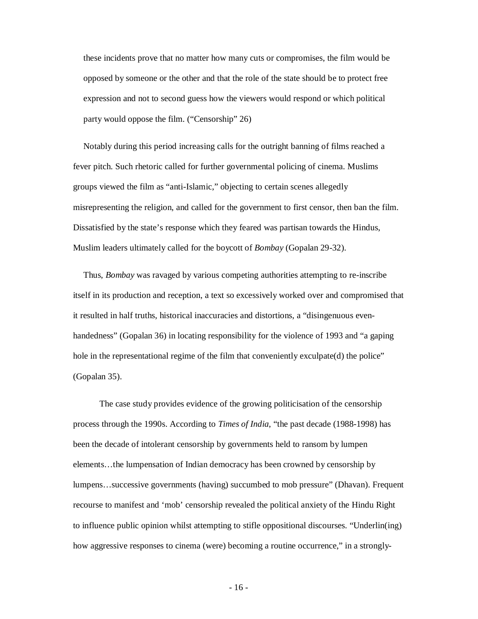these incidents prove that no matter how many cuts or compromises, the film would be opposed by someone or the other and that the role of the state should be to protect free expression and not to second guess how the viewers would respond or which political party would oppose the film. ("Censorship" 26)

Notably during this period increasing calls for the outright banning of films reached a fever pitch. Such rhetoric called for further governmental policing of cinema. Muslims groups viewed the film as "anti-Islamic," objecting to certain scenes allegedly misrepresenting the religion, and called for the government to first censor, then ban the film. Dissatisfied by the state's response which they feared was partisan towards the Hindus, Muslim leaders ultimately called for the boycott of *Bombay* (Gopalan 29-32).

Thus, *Bombay* was ravaged by various competing authorities attempting to re-inscribe itself in its production and reception, a text so excessively worked over and compromised that it resulted in half truths, historical inaccuracies and distortions, a "disingenuous evenhandedness" (Gopalan 36) in locating responsibility for the violence of 1993 and "a gaping hole in the representational regime of the film that conveniently exculpate(d) the police" (Gopalan 35).

The case study provides evidence of the growing politicisation of the censorship process through the 1990s. According to *Times of India*, "the past decade (1988-1998) has been the decade of intolerant censorship by governments held to ransom by lumpen elements…the lumpensation of Indian democracy has been crowned by censorship by lumpens…successive governments (having) succumbed to mob pressure" (Dhavan). Frequent recourse to manifest and 'mob' censorship revealed the political anxiety of the Hindu Right to influence public opinion whilst attempting to stifle oppositional discourses. "Underlin(ing) how aggressive responses to cinema (were) becoming a routine occurrence," in a strongly-

- 16 -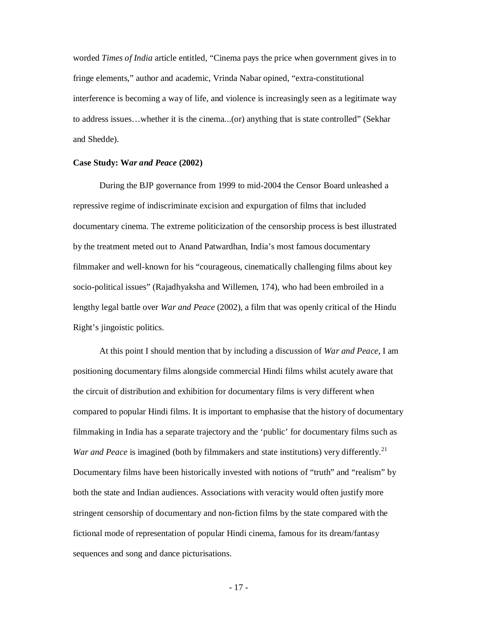worded *Times of India* article entitled, "Cinema pays the price when government gives in to fringe elements," author and academic, Vrinda Nabar opined, "extra-constitutional interference is becoming a way of life, and violence is increasingly seen as a legitimate way to address issues…whether it is the cinema...(or) anything that is state controlled" (Sekhar and Shedde).

#### **Case Study: W***ar and Peace* **(2002)**

During the BJP governance from 1999 to mid-2004 the Censor Board unleashed a repressive regime of indiscriminate excision and expurgation of films that included documentary cinema. The extreme politicization of the censorship process is best illustrated by the treatment meted out to Anand Patwardhan, India's most famous documentary filmmaker and well-known for his "courageous, cinematically challenging films about key socio-political issues" (Rajadhyaksha and Willemen, 174), who had been embroiled in a lengthy legal battle over *War and Peace* (2002), a film that was openly critical of the Hindu Right's jingoistic politics.

At this point I should mention that by including a discussion of *War and Peace*, I am positioning documentary films alongside commercial Hindi films whilst acutely aware that the circuit of distribution and exhibition for documentary films is very different when compared to popular Hindi films. It is important to emphasise that the history of documentary filmmaking in India has a separate trajectory and the 'public' for documentary films such as *War and Peace* is imagined (both by filmmakers and state institutions) very differently.<sup>21</sup> Documentary films have been historically invested with notions of "truth" and "realism" by both the state and Indian audiences. Associations with veracity would often justify more stringent censorship of documentary and non-fiction films by the state compared with the fictional mode of representation of popular Hindi cinema, famous for its dream/fantasy sequences and song and dance picturisations.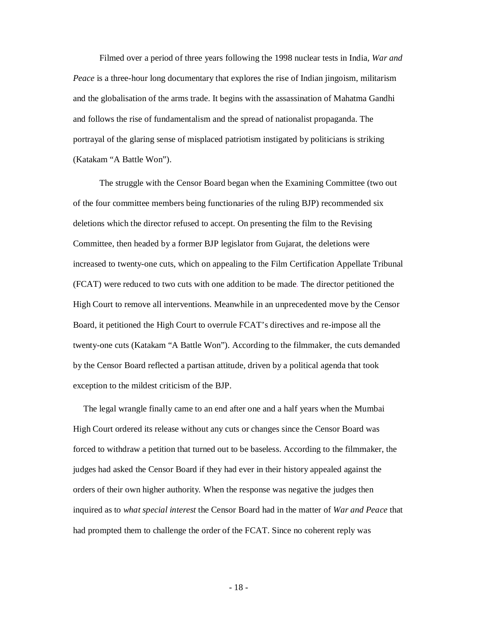Filmed over a period of three years following the 1998 nuclear tests in India, *War and Peace* is a three-hour long documentary that explores the rise of Indian jingoism, militarism and the globalisation of the arms trade. It begins with the assassination of Mahatma Gandhi and follows the rise of fundamentalism and the spread of nationalist propaganda. The portrayal of the glaring sense of misplaced patriotism instigated by politicians is striking (Katakam "A Battle Won").

The struggle with the Censor Board began when the Examining Committee (two out of the four committee members being functionaries of the ruling BJP) recommended six deletions which the director refused to accept. On presenting the film to the Revising Committee, then headed by a former BJP legislator from Gujarat, the deletions were increased to twenty-one cuts, which on appealing to the Film Certification Appellate Tribunal (FCAT) were reduced to two cuts with one addition to be made. The director petitioned the High Court to remove all interventions. Meanwhile in an unprecedented move by the Censor Board, it petitioned the High Court to overrule FCAT's directives and re-impose all the twenty-one cuts (Katakam "A Battle Won"). According to the filmmaker, the cuts demanded by the Censor Board reflected a partisan attitude, driven by a political agenda that took exception to the mildest criticism of the BJP.

The legal wrangle finally came to an end after one and a half years when the Mumbai High Court ordered its release without any cuts or changes since the Censor Board was forced to withdraw a petition that turned out to be baseless. According to the filmmaker, the judges had asked the Censor Board if they had ever in their history appealed against the orders of their own higher authority. When the response was negative the judges then inquired as to *what special interest* the Censor Board had in the matter of *War and Peace* that had prompted them to challenge the order of the FCAT. Since no coherent reply was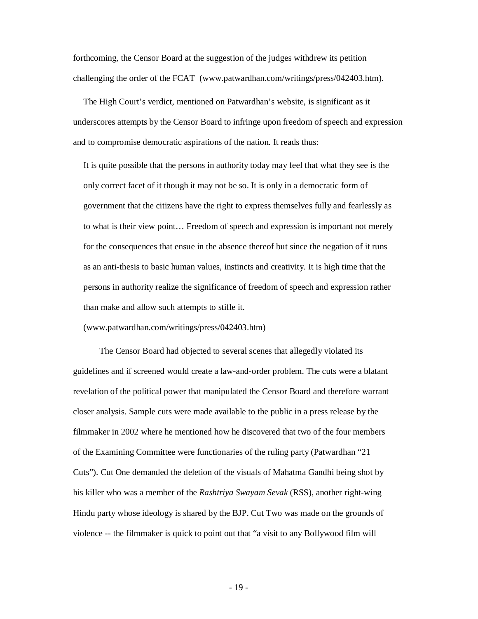forthcoming, the Censor Board at the suggestion of the judges withdrew its petition challenging the order of the FCAT (www.patwardhan.com/writings/press/042403.htm).

The High Court's verdict, mentioned on Patwardhan's website, is significant as it underscores attempts by the Censor Board to infringe upon freedom of speech and expression and to compromise democratic aspirations of the nation. It reads thus:

It is quite possible that the persons in authority today may feel that what they see is the only correct facet of it though it may not be so. It is only in a democratic form of government that the citizens have the right to express themselves fully and fearlessly as to what is their view point… Freedom of speech and expression is important not merely for the consequences that ensue in the absence thereof but since the negation of it runs as an anti-thesis to basic human values, instincts and creativity. It is high time that the persons in authority realize the significance of freedom of speech and expression rather than make and allow such attempts to stifle it.

(www.patwardhan.com/writings/press/042403.htm)

The Censor Board had objected to several scenes that allegedly violated its guidelines and if screened would create a law-and-order problem. The cuts were a blatant revelation of the political power that manipulated the Censor Board and therefore warrant closer analysis. Sample cuts were made available to the public in a press release by the filmmaker in 2002 where he mentioned how he discovered that two of the four members of the Examining Committee were functionaries of the ruling party (Patwardhan "21 Cuts"). Cut One demanded the deletion of the visuals of Mahatma Gandhi being shot by his killer who was a member of the *Rashtriya Swayam Sevak* (RSS), another right-wing Hindu party whose ideology is shared by the BJP. Cut Two was made on the grounds of violence -- the filmmaker is quick to point out that "a visit to any Bollywood film will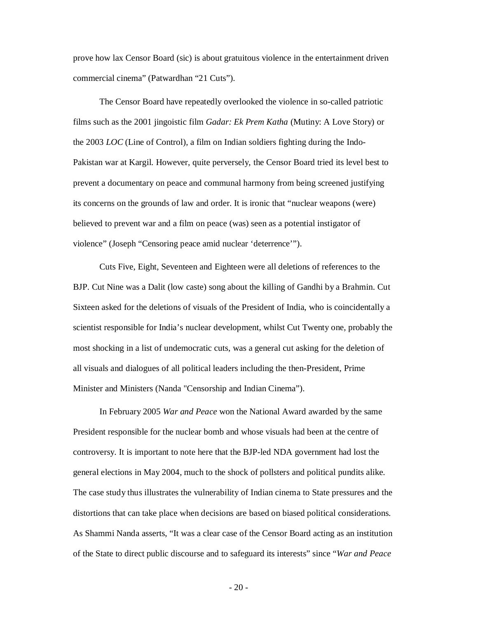prove how lax Censor Board (sic) is about gratuitous violence in the entertainment driven commercial cinema" (Patwardhan "21 Cuts").

The Censor Board have repeatedly overlooked the violence in so-called patriotic films such as the 2001 jingoistic film *Gadar: Ek Prem Katha* (Mutiny: A Love Story) or the 2003 *LOC* (Line of Control), a film on Indian soldiers fighting during the Indo-Pakistan war at Kargil. However, quite perversely, the Censor Board tried its level best to prevent a documentary on peace and communal harmony from being screened justifying its concerns on the grounds of law and order. It is ironic that "nuclear weapons (were) believed to prevent war and a film on peace (was) seen as a potential instigator of violence" (Joseph "Censoring peace amid nuclear 'deterrence'").

Cuts Five, Eight, Seventeen and Eighteen were all deletions of references to the BJP. Cut Nine was a Dalit (low caste) song about the killing of Gandhi by a Brahmin. Cut Sixteen asked for the deletions of visuals of the President of India, who is coincidentally a scientist responsible for India's nuclear development, whilst Cut Twenty one, probably the most shocking in a list of undemocratic cuts, was a general cut asking for the deletion of all visuals and dialogues of all political leaders including the then-President, Prime Minister and Ministers (Nanda "Censorship and Indian Cinema").

In February 2005 *War and Peace* won the National Award awarded by the same President responsible for the nuclear bomb and whose visuals had been at the centre of controversy. It is important to note here that the BJP-led NDA government had lost the general elections in May 2004, much to the shock of pollsters and political pundits alike. The case study thus illustrates the vulnerability of Indian cinema to State pressures and the distortions that can take place when decisions are based on biased political considerations. As Shammi Nanda asserts, "It was a clear case of the Censor Board acting as an institution of the State to direct public discourse and to safeguard its interests" since "*War and Peace*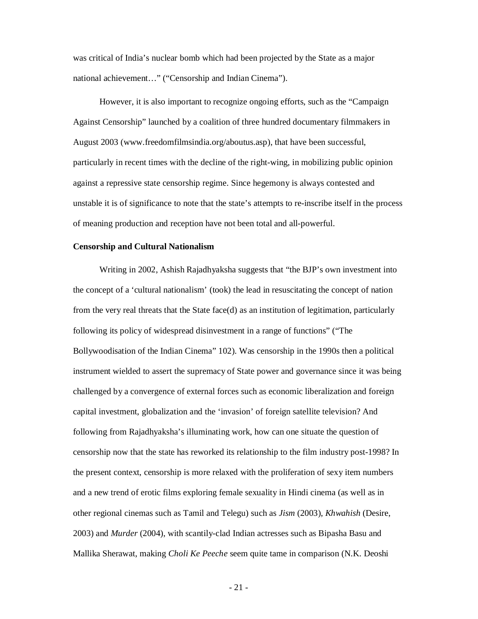was critical of India's nuclear bomb which had been projected by the State as a major national achievement…" ("Censorship and Indian Cinema").

However, it is also important to recognize ongoing efforts, such as the "Campaign Against Censorship" launched by a coalition of three hundred documentary filmmakers in August 2003 (www.freedomfilmsindia.org/aboutus.asp), that have been successful, particularly in recent times with the decline of the right-wing, in mobilizing public opinion against a repressive state censorship regime. Since hegemony is always contested and unstable it is of significance to note that the state's attempts to re-inscribe itself in the process of meaning production and reception have not been total and all-powerful.

#### **Censorship and Cultural Nationalism**

Writing in 2002, Ashish Rajadhyaksha suggests that "the BJP's own investment into the concept of a 'cultural nationalism' (took) the lead in resuscitating the concept of nation from the very real threats that the State face(d) as an institution of legitimation, particularly following its policy of widespread disinvestment in a range of functions" ("The Bollywoodisation of the Indian Cinema" 102). Was censorship in the 1990s then a political instrument wielded to assert the supremacy of State power and governance since it was being challenged by a convergence of external forces such as economic liberalization and foreign capital investment, globalization and the 'invasion' of foreign satellite television? And following from Rajadhyaksha's illuminating work, how can one situate the question of censorship now that the state has reworked its relationship to the film industry post-1998? In the present context, censorship is more relaxed with the proliferation of sexy item numbers and a new trend of erotic films exploring female sexuality in Hindi cinema (as well as in other regional cinemas such as Tamil and Telegu) such as *Jism* (2003), *Khwahish* (Desire, 2003) and *Murder* (2004), with scantily-clad Indian actresses such as Bipasha Basu and Mallika Sherawat, making *Choli Ke Peeche* seem quite tame in comparison (N.K. Deoshi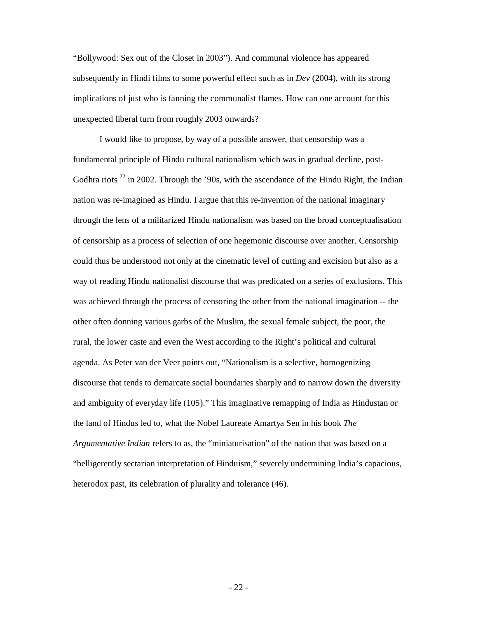"Bollywood: Sex out of the Closet in 2003"). And communal violence has appeared subsequently in Hindi films to some powerful effect such as in *Dev* (2004), with its strong implications of just who is fanning the communalist flames. How can one account for this unexpected liberal turn from roughly 2003 onwards?

I would like to propose, by way of a possible answer, that censorship was a fundamental principle of Hindu cultural nationalism which was in gradual decline, post-Godhra riots  $^{22}$  in 2002. Through the '90s, with the ascendance of the Hindu Right, the Indian nation was re-imagined as Hindu. I argue that this re-invention of the national imaginary through the lens of a militarized Hindu nationalism was based on the broad conceptualisation of censorship as a process of selection of one hegemonic discourse over another. Censorship could thus be understood not only at the cinematic level of cutting and excision but also as a way of reading Hindu nationalist discourse that was predicated on a series of exclusions. This was achieved through the process of censoring the other from the national imagination -- the other often donning various garbs of the Muslim, the sexual female subject, the poor, the rural, the lower caste and even the West according to the Right's political and cultural agenda. As Peter van der Veer points out, "Nationalism is a selective, homogenizing discourse that tends to demarcate social boundaries sharply and to narrow down the diversity and ambiguity of everyday life (105)." This imaginative remapping of India as Hindustan or the land of Hindus led to, what the Nobel Laureate Amartya Sen in his book *The Argumentative Indian* refers to as, the "miniaturisation" of the nation that was based on a "belligerently sectarian interpretation of Hinduism," severely undermining India's capacious, heterodox past, its celebration of plurality and tolerance (46).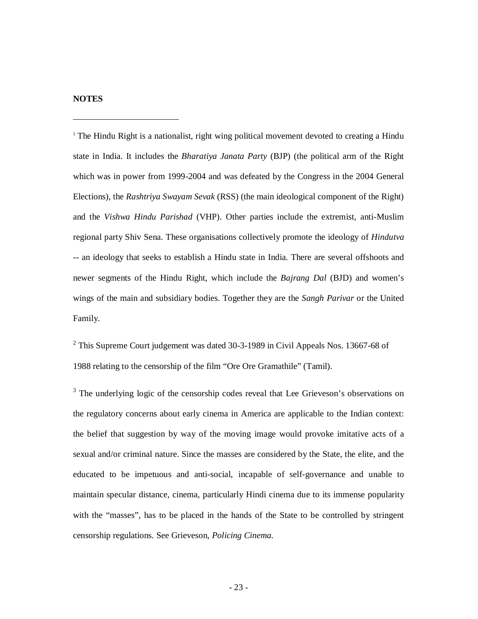### **NOTES**

<sup>1</sup> The Hindu Right is a nationalist, right wing political movement devoted to creating a Hindu state in India. It includes the *Bharatiya Janata Party* (BJP) (the political arm of the Right which was in power from 1999-2004 and was defeated by the Congress in the 2004 General Elections), the *Rashtriya Swayam Sevak* (RSS) (the main ideological component of the Right) and the *Vishwa Hindu Parishad* (VHP). Other parties include the extremist, anti-Muslim regional party Shiv Sena. These organisations collectively promote the ideology of *Hindutva* -- an ideology that seeks to establish a Hindu state in India. There are several offshoots and newer segments of the Hindu Right, which include the *Bajrang Dal* (BJD) and women's wings of the main and subsidiary bodies. Together they are the *Sangh Parivar* or the United Family.

 $2$  This Supreme Court judgement was dated 30-3-1989 in Civil Appeals Nos. 13667-68 of 1988 relating to the censorship of the film "Ore Ore Gramathile" (Tamil).

 $3$  The underlying logic of the censorship codes reveal that Lee Grieveson's observations on the regulatory concerns about early cinema in America are applicable to the Indian context: the belief that suggestion by way of the moving image would provoke imitative acts of a sexual and/or criminal nature. Since the masses are considered by the State, the elite, and the educated to be impetuous and anti-social, incapable of self-governance and unable to maintain specular distance, cinema, particularly Hindi cinema due to its immense popularity with the "masses", has to be placed in the hands of the State to be controlled by stringent censorship regulations. See Grieveson, *Policing Cinema.*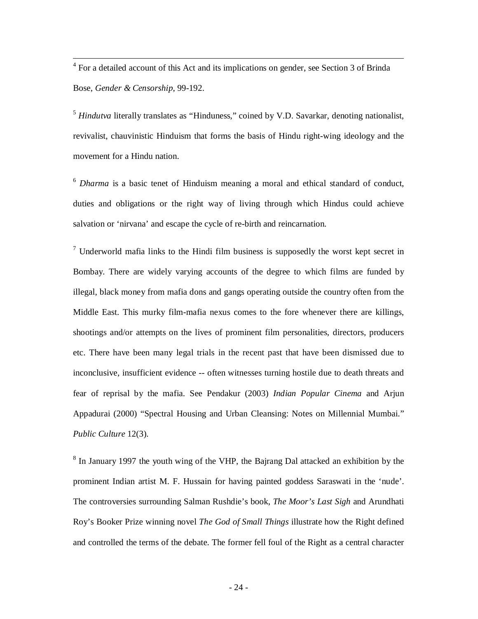<sup>4</sup> For a detailed account of this Act and its implications on gender, see Section 3 of Brinda Bose, *Gender & Censorship*, 99-192.

<sup>5</sup> *Hindutva* literally translates as "Hinduness," coined by V.D. Savarkar, denoting nationalist, revivalist, chauvinistic Hinduism that forms the basis of Hindu right-wing ideology and the movement for a Hindu nation.

<sup>6</sup> *Dharma* is a basic tenet of Hinduism meaning a moral and ethical standard of conduct, duties and obligations or the right way of living through which Hindus could achieve salvation or 'nirvana' and escape the cycle of re-birth and reincarnation.

 $\frac{7}{1}$  Underworld mafia links to the Hindi film business is supposedly the worst kept secret in Bombay. There are widely varying accounts of the degree to which films are funded by illegal, black money from mafia dons and gangs operating outside the country often from the Middle East. This murky film-mafia nexus comes to the fore whenever there are killings, shootings and/or attempts on the lives of prominent film personalities, directors, producers etc. There have been many legal trials in the recent past that have been dismissed due to inconclusive, insufficient evidence -- often witnesses turning hostile due to death threats and fear of reprisal by the mafia. See Pendakur (2003) *Indian Popular Cinema* and Arjun Appadurai (2000) "Spectral Housing and Urban Cleansing: Notes on Millennial Mumbai." *Public Culture* 12(3).

<sup>8</sup> In January 1997 the youth wing of the VHP, the Bajrang Dal attacked an exhibition by the prominent Indian artist M. F. Hussain for having painted goddess Saraswati in the 'nude'. The controversies surrounding Salman Rushdie's book, *The Moor's Last Sigh* and Arundhati Roy's Booker Prize winning novel *The God of Small Things* illustrate how the Right defined and controlled the terms of the debate. The former fell foul of the Right as a central character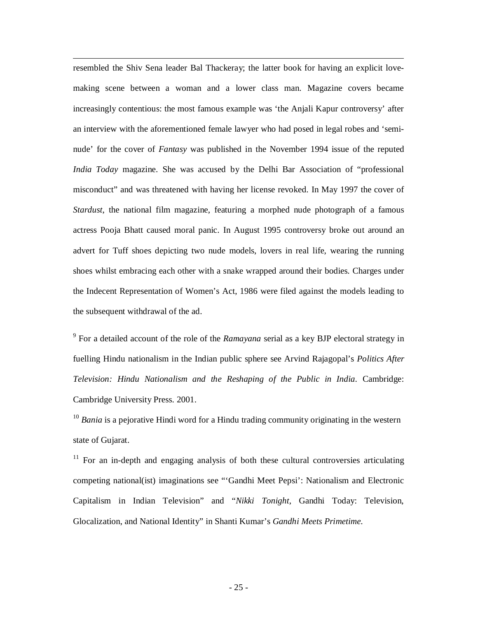resembled the Shiv Sena leader Bal Thackeray; the latter book for having an explicit lovemaking scene between a woman and a lower class man. Magazine covers became increasingly contentious: the most famous example was 'the Anjali Kapur controversy' after an interview with the aforementioned female lawyer who had posed in legal robes and 'seminude' for the cover of *Fantasy* was published in the November 1994 issue of the reputed *India Today* magazine. She was accused by the Delhi Bar Association of "professional misconduct" and was threatened with having her license revoked. In May 1997 the cover of *Stardust*, the national film magazine, featuring a morphed nude photograph of a famous actress Pooja Bhatt caused moral panic. In August 1995 controversy broke out around an advert for Tuff shoes depicting two nude models, lovers in real life, wearing the running shoes whilst embracing each other with a snake wrapped around their bodies. Charges under the Indecent Representation of Women's Act, 1986 were filed against the models leading to the subsequent withdrawal of the ad.

9 For a detailed account of the role of the *Ramayana* serial as a key BJP electoral strategy in fuelling Hindu nationalism in the Indian public sphere see Arvind Rajagopal's *Politics After Television: Hindu Nationalism and the Reshaping of the Public in India.* Cambridge: Cambridge University Press. 2001.

<sup>10</sup> *Bania* is a pejorative Hindi word for a Hindu trading community originating in the western state of Gujarat.

 $11$  For an in-depth and engaging analysis of both these cultural controversies articulating competing national(ist) imaginations see "'Gandhi Meet Pepsi': Nationalism and Electronic Capitalism in Indian Television" and "*Nikki Tonight*, Gandhi Today: Television, Glocalization, and National Identity" in Shanti Kumar's *Gandhi Meets Primetime.*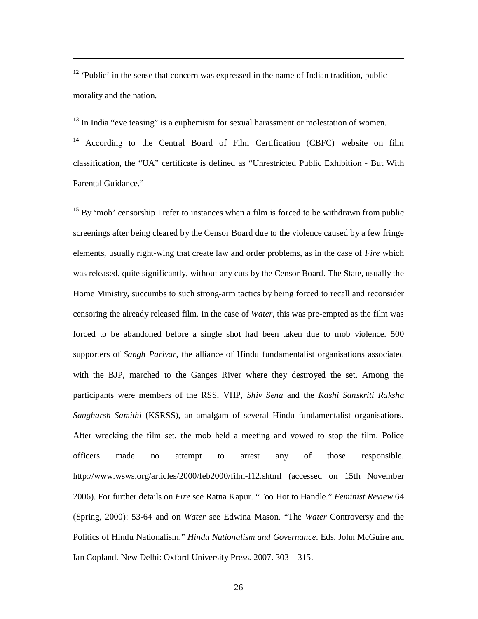$12$  'Public' in the sense that concern was expressed in the name of Indian tradition, public morality and the nation.

 $13$  In India "eve teasing" is a euphemism for sexual harassment or molestation of women.

<sup>14</sup> According to the Central Board of Film Certification (CBFC) website on film classification, the "UA" certificate is defined as "Unrestricted Public Exhibition - But With Parental Guidance."

 $15$  By 'mob' censorship I refer to instances when a film is forced to be withdrawn from public screenings after being cleared by the Censor Board due to the violence caused by a few fringe elements, usually right-wing that create law and order problems, as in the case of *Fire* which was released, quite significantly, without any cuts by the Censor Board. The State, usually the Home Ministry, succumbs to such strong-arm tactics by being forced to recall and reconsider censoring the already released film. In the case of *Water*, this was pre-empted as the film was forced to be abandoned before a single shot had been taken due to mob violence. 500 supporters of *Sangh Parivar*, the alliance of Hindu fundamentalist organisations associated with the BJP, marched to the Ganges River where they destroyed the set. Among the participants were members of the RSS, VHP, *Shiv Sena* and the *Kashi Sanskriti Raksha Sangharsh Samithi* (KSRSS), an amalgam of several Hindu fundamentalist organisations. After wrecking the film set, the mob held a meeting and vowed to stop the film. Police officers made no attempt to arrest any of those responsible. http://www.wsws.org/articles/2000/feb2000/film-f12.shtml (accessed on 15th November 2006). For further details on *Fire* see Ratna Kapur. "Too Hot to Handle." *Feminist Review* 64 (Spring, 2000): 53-64 and on *Water* see Edwina Mason. "The *Water* Controversy and the Politics of Hindu Nationalism." *Hindu Nationalism and Governance*. Eds. John McGuire and Ian Copland. New Delhi: Oxford University Press. 2007. 303 – 315.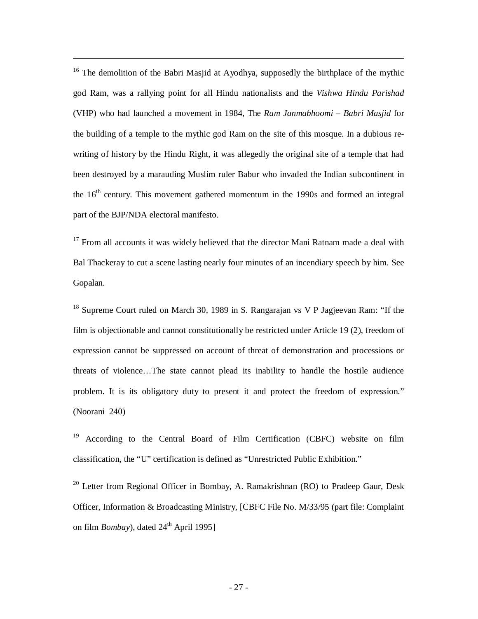<sup>16</sup> The demolition of the Babri Masjid at Ayodhya, supposedly the birthplace of the mythic god Ram, was a rallying point for all Hindu nationalists and the *Vishwa Hindu Parishad* (VHP) who had launched a movement in 1984, The *Ram Janmabhoomi – Babri Masjid* for the building of a temple to the mythic god Ram on the site of this mosque. In a dubious rewriting of history by the Hindu Right, it was allegedly the original site of a temple that had been destroyed by a marauding Muslim ruler Babur who invaded the Indian subcontinent in the 16<sup>th</sup> century. This movement gathered momentum in the 1990s and formed an integral part of the BJP/NDA electoral manifesto.

 $17$  From all accounts it was widely believed that the director Mani Ratnam made a deal with Bal Thackeray to cut a scene lasting nearly four minutes of an incendiary speech by him. See Gopalan.

<sup>18</sup> Supreme Court ruled on March 30, 1989 in S. Rangarajan vs V P Jagjeevan Ram: "If the film is objectionable and cannot constitutionally be restricted under Article 19 (2), freedom of expression cannot be suppressed on account of threat of demonstration and processions or threats of violence…The state cannot plead its inability to handle the hostile audience problem. It is its obligatory duty to present it and protect the freedom of expression." (Noorani 240)

<sup>19</sup> According to the Central Board of Film Certification (CBFC) website on film classification, the "U" certification is defined as "Unrestricted Public Exhibition."

<sup>20</sup> Letter from Regional Officer in Bombay, A. Ramakrishnan (RO) to Pradeep Gaur, Desk Officer, Information & Broadcasting Ministry, [CBFC File No. M/33/95 (part file: Complaint on film *Bombay*), dated  $24<sup>th</sup>$  April 1995]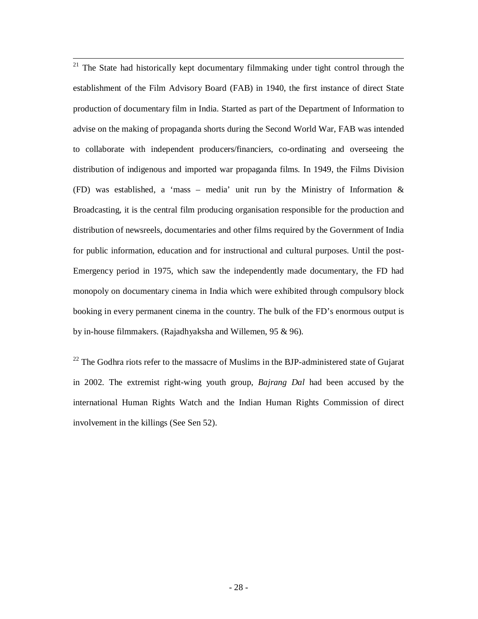$21$  The State had historically kept documentary filmmaking under tight control through the establishment of the Film Advisory Board (FAB) in 1940, the first instance of direct State production of documentary film in India. Started as part of the Department of Information to advise on the making of propaganda shorts during the Second World War, FAB was intended to collaborate with independent producers/financiers, co-ordinating and overseeing the distribution of indigenous and imported war propaganda films. In 1949, the Films Division (FD) was established, a 'mass – media' unit run by the Ministry of Information  $\&$ Broadcasting, it is the central film producing organisation responsible for the production and distribution of newsreels, documentaries and other films required by the Government of India for public information, education and for instructional and cultural purposes. Until the post-Emergency period in 1975, which saw the independently made documentary, the FD had monopoly on documentary cinema in India which were exhibited through compulsory block booking in every permanent cinema in the country. The bulk of the FD's enormous output is by in-house filmmakers. (Rajadhyaksha and Willemen, 95 & 96).

 $22$  The Godhra riots refer to the massacre of Muslims in the BJP-administered state of Gujarat in 2002. The extremist right-wing youth group, *Bajrang Dal* had been accused by the international Human Rights Watch and the Indian Human Rights Commission of direct involvement in the killings (See Sen 52).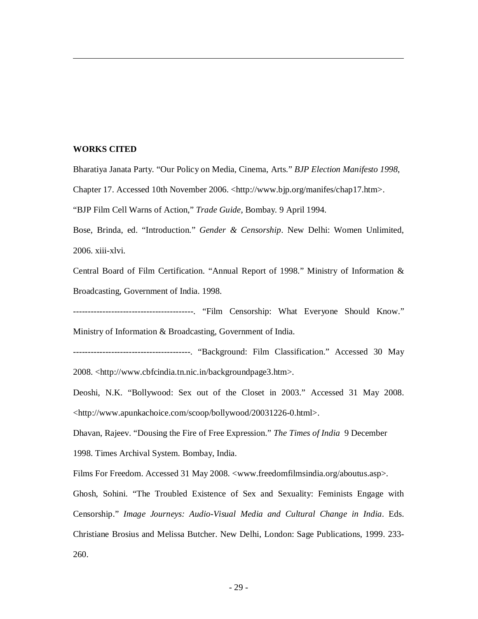#### **WORKS CITED**

Bharatiya Janata Party. "Our Policy on Media, Cinema, Arts." *BJP Election Manifesto 1998*,

Chapter 17. Accessed 10th November 2006. <http://www.bjp.org/manifes/chap17.htm>.

"BJP Film Cell Warns of Action," *Trade Guide*, Bombay. 9 April 1994.

Bose, Brinda, ed. "Introduction." *Gender & Censorship*. New Delhi: Women Unlimited, 2006. xiii-xlvi.

Central Board of Film Certification. "Annual Report of 1998." Ministry of Information & Broadcasting, Government of India. 1998.

-----------------------------------------. "Film Censorship: What Everyone Should Know." Ministry of Information & Broadcasting, Government of India.

----------------------------------------. "Background: Film Classification." Accessed 30 May 2008. <http://www.cbfcindia.tn.nic.in/backgroundpage3.htm>.

Deoshi, N.K. "Bollywood: Sex out of the Closet in 2003." Accessed 31 May 2008. <http://www.apunkachoice.com/scoop/bollywood/20031226-0.html>.

Dhavan, Rajeev. "Dousing the Fire of Free Expression." *The Times of India* 9 December 1998. Times Archival System. Bombay, India.

Films For Freedom. Accessed 31 May 2008. <www.freedomfilmsindia.org/aboutus.asp>.

Ghosh, Sohini. "The Troubled Existence of Sex and Sexuality: Feminists Engage with Censorship." *Image Journeys: Audio-Visual Media and Cultural Change in India*. Eds. Christiane Brosius and Melissa Butcher. New Delhi, London: Sage Publications, 1999. 233- 260.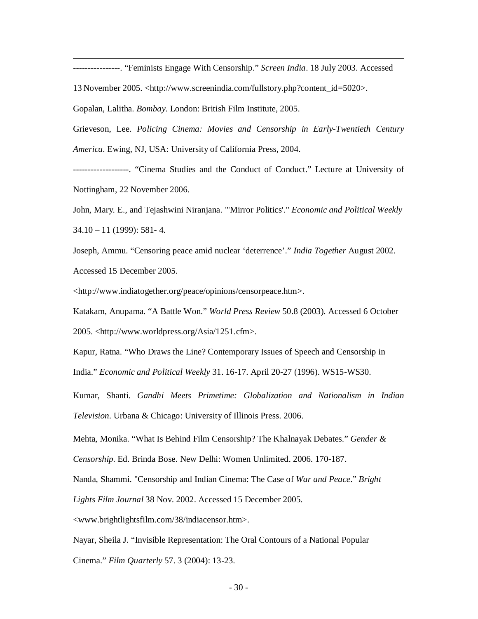----------------. "Feminists Engage With Censorship." *Screen India*. 18 July 2003. Accessed

13 November 2005. <http://www.screenindia.com/fullstory.php?content\_id=5020>.

Gopalan, Lalitha. *Bombay*. London: British Film Institute, 2005.

Grieveson, Lee. *Policing Cinema: Movies and Censorship in Early-Twentieth Century America.* Ewing, NJ, USA: University of California Press, 2004.

-------------------. "Cinema Studies and the Conduct of Conduct." Lecture at University of Nottingham, 22 November 2006.

John, Mary. E., and Tejashwini Niranjana. "'Mirror Politics'." *Economic and Political Weekly* 34.10 – 11 (1999): 581- 4.

Joseph, Ammu. "Censoring peace amid nuclear 'deterrence'." *India Together* August 2002. Accessed 15 December 2005.

<http://www.indiatogether.org/peace/opinions/censorpeace.htm>.

Katakam, Anupama. "A Battle Won." *World Press Review* 50.8 (2003). Accessed 6 October

2005. <http://www.worldpress.org/Asia/1251.cfm>.

Kapur, Ratna. "Who Draws the Line? Contemporary Issues of Speech and Censorship in India." *Economic and Political Weekly* 31. 16-17. April 20-27 (1996). WS15-WS30.

Kumar, Shanti. *Gandhi Meets Primetime: Globalization and Nationalism in Indian Television.* Urbana & Chicago: University of Illinois Press. 2006.

Mehta, Monika. "What Is Behind Film Censorship? The Khalnayak Debates." *Gender &* 

*Censorship*. Ed. Brinda Bose. New Delhi: Women Unlimited. 2006. 170-187.

Nanda, Shammi. "Censorship and Indian Cinema: The Case of *War and Peace*." *Bright* 

*Lights Film Journal* 38 Nov. 2002. Accessed 15 December 2005.

<www.brightlightsfilm.com/38/indiacensor.htm>.

Nayar, Sheila J. "Invisible Representation: The Oral Contours of a National Popular

Cinema." *Film Quarterly* 57. 3 (2004): 13-23.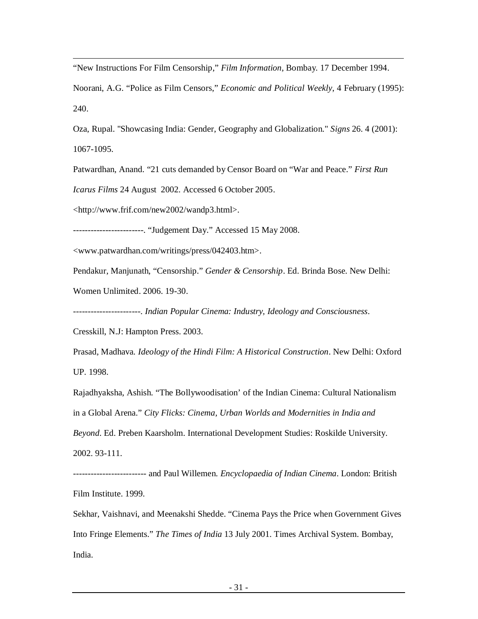"New Instructions For Film Censorship," *Film Information*, Bombay. 17 December 1994.

Noorani, A.G. "Police as Film Censors," *Economic and Political Weekly*, 4 February (1995): 240.

Oza, Rupal. "Showcasing India: Gender, Geography and Globalization." *Signs* 26. 4 (2001): 1067-1095.

Patwardhan, Anand. "21 cuts demanded by Censor Board on "War and Peace." *First Run* 

*Icarus Films* 24 August 2002. Accessed 6 October 2005.

<http://www.frif.com/new2002/wandp3.html>.

------------------------. "Judgement Day." Accessed 15 May 2008.

<www.patwardhan.com/writings/press/042403.htm>.

Pendakur, Manjunath, "Censorship." *Gender & Censorship*. Ed. Brinda Bose. New Delhi:

Women Unlimited. 2006. 19-30.

-----------------------. *Indian Popular Cinema: Industry, Ideology and Consciousness*.

Cresskill, N.J: Hampton Press. 2003.

Prasad, Madhava. *Ideology of the Hindi Film: A Historical Construction*. New Delhi: Oxford UP. 1998.

Rajadhyaksha, Ashish. "The Bollywoodisation' of the Indian Cinema: Cultural Nationalism in a Global Arena." *City Flicks: Cinema, Urban Worlds and Modernities in India and Beyond*. Ed. Preben Kaarsholm. International Development Studies: Roskilde University. 2002. 93-111.

------------------------- and Paul Willemen. *Encyclopaedia of Indian Cinema*. London: British Film Institute. 1999.

Sekhar, Vaishnavi, and Meenakshi Shedde. "Cinema Pays the Price when Government Gives Into Fringe Elements." *The Times of India* 13 July 2001. Times Archival System. Bombay, India.